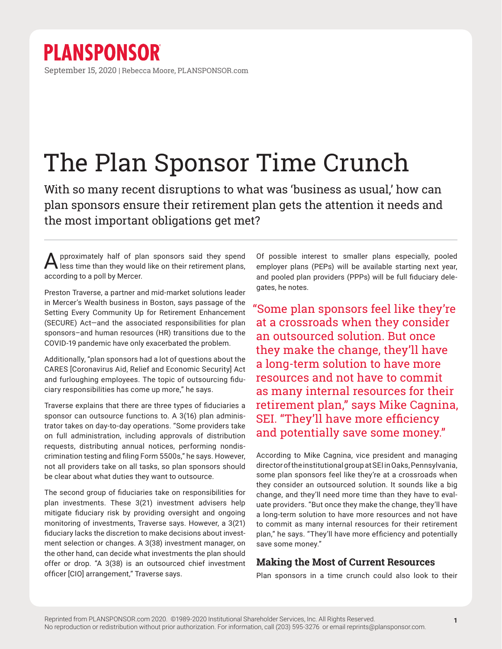## The Plan Sponsor Time Crunch

With so many recent disruptions to what was 'business as usual,' how can plan sponsors ensure their retirement plan gets the attention it needs and the most important obligations get met?

Approximately half of plan sponsors said they spend less time than they would like on their retirement plans, according to a poll by Mercer.

Preston Traverse, a partner and mid-market solutions leader in Mercer's Wealth business in Boston, says passage of the Setting Every Community Up for Retirement Enhancement (SECURE) Act—and the associated responsibilities for plan sponsors–and human resources (HR) transitions due to the COVID-19 pandemic have only exacerbated the problem.

Additionally, "plan sponsors had a lot of questions about the CARES [Coronavirus Aid, Relief and Economic Security] Act and furloughing employees. The topic of outsourcing fiduciary responsibilities has come up more," he says.

Traverse explains that there are three types of fiduciaries a sponsor can outsource functions to. A 3(16) plan administrator takes on day-to-day operations. "Some providers take on full administration, including approvals of distribution requests, distributing annual notices, performing nondiscrimination testing and filing Form 5500s," he says. However, not all providers take on all tasks, so plan sponsors should be clear about what duties they want to outsource.

The second group of fiduciaries take on responsibilities for plan investments. These 3(21) investment advisers help mitigate fiduciary risk by providing oversight and ongoing monitoring of investments, Traverse says. However, a 3(21) fiduciary lacks the discretion to make decisions about investment selection or changes. A 3(38) investment manager, on the other hand, can decide what investments the plan should offer or drop. "A 3(38) is an outsourced chief investment officer [CIO] arrangement," Traverse says.

Of possible interest to smaller plans especially, pooled employer plans (PEPs) will be available starting next year, and pooled plan providers (PPPs) will be full fiduciary delegates, he notes.

"Some plan sponsors feel like they're at a crossroads when they consider an outsourced solution. But once they make the change, they'll have a long-term solution to have more resources and not have to commit as many internal resources for their retirement plan," says Mike Cagnina, SEI. "They'll have more efficiency and potentially save some money."

According to Mike Cagnina, vice president and managing director of the institutional group at SEI in Oaks, Pennsylvania, some plan sponsors feel like they're at a crossroads when they consider an outsourced solution. It sounds like a big change, and they'll need more time than they have to evaluate providers. "But once they make the change, they'll have a long-term solution to have more resources and not have to commit as many internal resources for their retirement plan," he says. "They'll have more efficiency and potentially save some money."

## **Making the Most of Current Resources**

Plan sponsors in a time crunch could also look to their